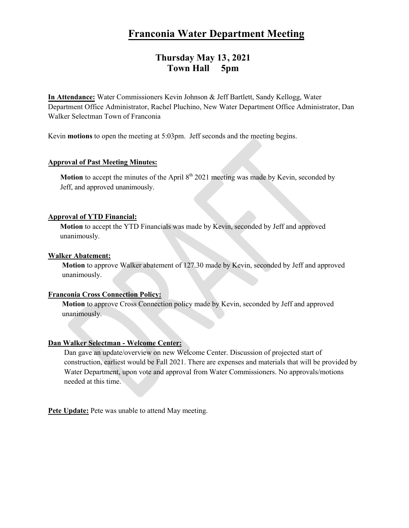# **Franconia Water Department Meeting**

## **Thursday May 13, 2021 Town Hall 5pm**

**In Attendance:** Water Commissioners Kevin Johnson & Jeff Bartlett, Sandy Kellogg, Water Department Office Administrator, Rachel Pluchino, New Water Department Office Administrator, Dan Walker Selectman Town of Franconia

Kevin **motions** to open the meeting at 5:03pm. Jeff seconds and the meeting begins.

## **Approval of Past Meeting Minutes:**

**Motion** to accept the minutes of the April  $8<sup>th</sup> 2021$  meeting was made by Kevin, seconded by Jeff, and approved unanimously.

## **Approval of YTD Financial:**

**Motion** to accept the YTD Financials was made by Kevin, seconded by Jeff and approved unanimously.

## **Walker Abatement:**

**Motion** to approve Walker abatement of 127.30 made by Kevin, seconded by Jeff and approved unanimously.

## **Franconia Cross Connection Policy:**

**Motion** to approve Cross Connection policy made by Kevin, seconded by Jeff and approved unanimously.

## **Dan Walker Selectman - Welcome Center:**

Dan gave an update/overview on new Welcome Center. Discussion of projected start of construction, earliest would be Fall 2021. There are expenses and materials that will be provided by Water Department, upon vote and approval from Water Commissioners. No approvals/motions needed at this time.

**Pete Update:** Pete was unable to attend May meeting.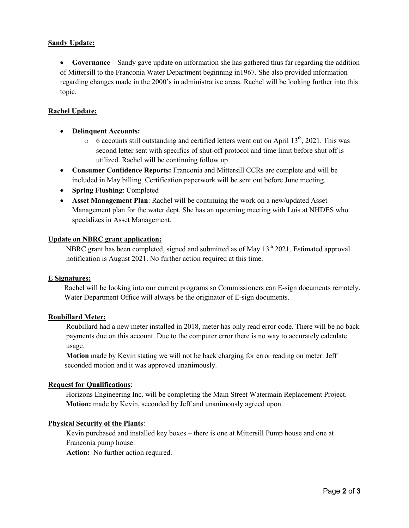## **Sandy Update:**

• **Governance** – Sandy gave update on information she has gathered thus far regarding the addition of Mittersill to the Franconia Water Department beginning in1967. She also provided information regarding changes made in the 2000's in administrative areas. Rachel will be looking further into this topic.

## **Rachel Update:**

- **Delinquent Accounts:**
	- $\circ$  6 accounts still outstanding and certified letters went out on April 13<sup>th</sup>, 2021. This was second letter sent with specifics of shut-off protocol and time limit before shut off is utilized. Rachel will be continuing follow up
- **Consumer Confidence Reports:** Franconia and Mittersill CCRs are complete and will be included in May billing. Certification paperwork will be sent out before June meeting.
- **Spring Flushing**: Completed
- **Asset Management Plan**: Rachel will be continuing the work on a new/updated Asset Management plan for the water dept. She has an upcoming meeting with Luis at NHDES who specializes in Asset Management.

## **Update on NBRC grant application:**

NBRC grant has been completed, signed and submitted as of May 13<sup>th</sup> 2021. Estimated approval notification is August 2021. No further action required at this time.

#### **E Signatures:**

Rachel will be looking into our current programs so Commissioners can E-sign documents remotely. Water Department Office will always be the originator of E-sign documents.

## **Roubillard Meter:**

Roubillard had a new meter installed in 2018, meter has only read error code. There will be no back payments due on this account. Due to the computer error there is no way to accurately calculate usage.

**Motion** made by Kevin stating we will not be back charging for error reading on meter. Jeff seconded motion and it was approved unanimously.

## **Request for Qualifications**:

 Horizons Engineering Inc. will be completing the Main Street Watermain Replacement Project. **Motion:** made by Kevin, seconded by Jeff and unanimously agreed upon.

## **Physical Security of the Plants**:

Kevin purchased and installed key boxes – there is one at Mittersill Pump house and one at Franconia pump house.

 **Action:** No further action required.